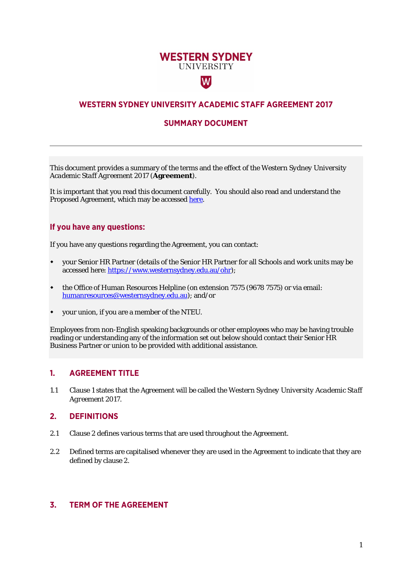# **WESTERN SYDNEY UNIVERSITY**

 $|\mathsf{W}|$ 

# **WESTERN SYDNEY UNIVERSITY ACADEMIC STAFF AGREEMENT 2017**

## **SUMMARY DOCUMENT**

This document provides a summary of the terms and the effect of the *Western Sydney University Academic Staff Agreement 2017* (**Agreement**).

It is important that you read this document carefully. You should also read and understand the Proposed Agreement, which may be accessed [here.](https://www.westernsydney.edu.au/people_and_culture/opc/uws_enterprise_agreements)

### **If you have any questions:**

If you have any questions regarding the Agreement, you can contact:

- your Senior HR Partner (details of the Senior HR Partner for all Schools and work units may be accessed here[: https://www.westernsydney.edu.au/ohr\)](https://www.westernsydney.edu.au/ohr);
- the Office of Human Resources Helpline (on extension 7575 (9678 7575) or via email: [humanresources@westernsydney.edu.au\)](mailto:humanresources@westernsydney.edu.au); and/or
- your union, if you are a member of the NTEU.

Employees from non-English speaking backgrounds or other employees who may be having trouble reading or understanding any of the information set out below should contact their Senior HR Business Partner or union to be provided with additional assistance.

#### **1. AGREEMENT TITLE**

1.1 Clause 1 states that the Agreement will be called the *Western Sydney University Academic Staff Agreement 2017*.

### **2. DEFINITIONS**

- 2.1 Clause 2 defines various terms that are used throughout the Agreement.
- 2.2 Defined terms are capitalised whenever they are used in the Agreement to indicate that they are defined by clause 2.

## **3. TERM OF THE AGREEMENT**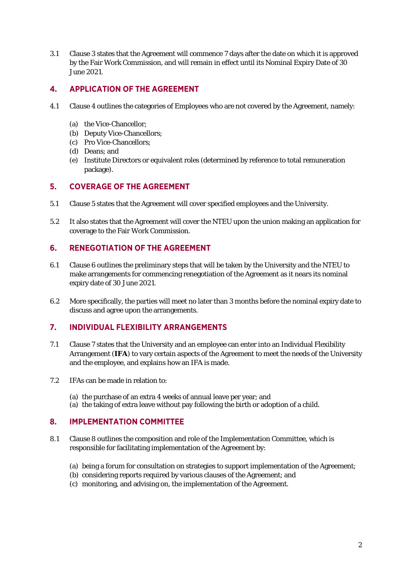3.1 Clause 3 states that the Agreement will commence 7 days after the date on which it is approved by the Fair Work Commission, and will remain in effect until its Nominal Expiry Date of 30 June 2021.

## **4. APPLICATION OF THE AGREEMENT**

- 4.1 Clause 4 outlines the categories of Employees who are not covered by the Agreement, namely:
	- (a) the Vice-Chancellor;
	- (b) Deputy Vice-Chancellors;
	- (c) Pro Vice-Chancellors;
	- (d) Deans; and
	- (e) Institute Directors or equivalent roles (determined by reference to total remuneration package).

## **5. COVERAGE OF THE AGREEMENT**

- 5.1 Clause 5 states that the Agreement will cover specified employees and the University.
- 5.2 It also states that the Agreement will cover the NTEU upon the union making an application for coverage to the Fair Work Commission.

### **6. RENEGOTIATION OF THE AGREEMENT**

- 6.1 Clause 6 outlines the preliminary steps that will be taken by the University and the NTEU to make arrangements for commencing renegotiation of the Agreement as it nears its nominal expiry date of 30 June 2021.
- 6.2 More specifically, the parties will meet no later than 3 months before the nominal expiry date to discuss and agree upon the arrangements.

### **7. INDIVIDUAL FLEXIBILITY ARRANGEMENTS**

- 7.1 Clause 7 states that the University and an employee can enter into an Individual Flexibility Arrangement (**IFA**) to vary certain aspects of the Agreement to meet the needs of the University and the employee, and explains how an IFA is made.
- 7.2 IFAs can be made in relation to:
	- (a) the purchase of an extra 4 weeks of annual leave per year; and
	- (a) the taking of extra leave without pay following the birth or adoption of a child.

### **8. IMPLEMENTATION COMMITTEE**

- 8.1 Clause 8 outlines the composition and role of the Implementation Committee, which is responsible for facilitating implementation of the Agreement by:
	- (a) being a forum for consultation on strategies to support implementation of the Agreement;
	- (b) considering reports required by various clauses of the Agreement; and
	- (c) monitoring, and advising on, the implementation of the Agreement.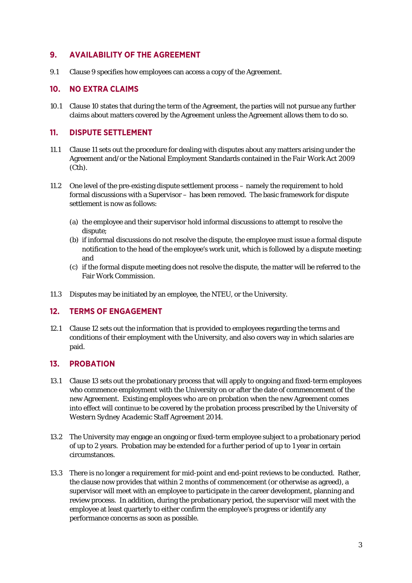## **9. AVAILABILITY OF THE AGREEMENT**

9.1 Clause 9 specifies how employees can access a copy of the Agreement.

## **10. NO EXTRA CLAIMS**

10.1 Clause 10 states that during the term of the Agreement, the parties will not pursue any further claims about matters covered by the Agreement unless the Agreement allows them to do so.

### **11. DISPUTE SETTLEMENT**

- 11.1 Clause 11 sets out the procedure for dealing with disputes about any matters arising under the Agreement and/or the National Employment Standards contained in the *Fair Work Act* 2009 (Cth).
- 11.2 One level of the pre-existing dispute settlement process namely the requirement to hold formal discussions with a Supervisor – has been removed. The basic framework for dispute settlement is now as follows:
	- (a) the employee and their supervisor hold informal discussions to attempt to resolve the dispute;
	- (b) if informal discussions do not resolve the dispute, the employee must issue a formal dispute notification to the head of the employee's work unit, which is followed by a dispute meeting; and
	- (c) if the formal dispute meeting does not resolve the dispute, the matter will be referred to the Fair Work Commission.
- 11.3 Disputes may be initiated by an employee, the NTEU, or the University.

### **12. TERMS OF ENGAGEMENT**

12.1 Clause 12 sets out the information that is provided to employees regarding the terms and conditions of their employment with the University, and also covers way in which salaries are paid.

## **13. PROBATION**

- 13.1 Clause 13 sets out the probationary process that will apply to ongoing and fixed-term employees who commence employment with the University on or after the date of commencement of the new Agreement. Existing employees who are on probation when the new Agreement comes into effect will continue to be covered by the probation process prescribed by the *University of Western Sydney Academic Staff Agreement 2014.*
- 13.2 The University may engage an ongoing or fixed-term employee subject to a probationary period of up to 2 years. Probation may be extended for a further period of up to 1 year in certain circumstances.
- 13.3 There is no longer a requirement for mid-point and end-point reviews to be conducted. Rather, the clause now provides that within 2 months of commencement (or otherwise as agreed), a supervisor will meet with an employee to participate in the career development, planning and review process. In addition, during the probationary period, the supervisor will meet with the employee at least quarterly to either confirm the employee's progress or identify any performance concerns as soon as possible.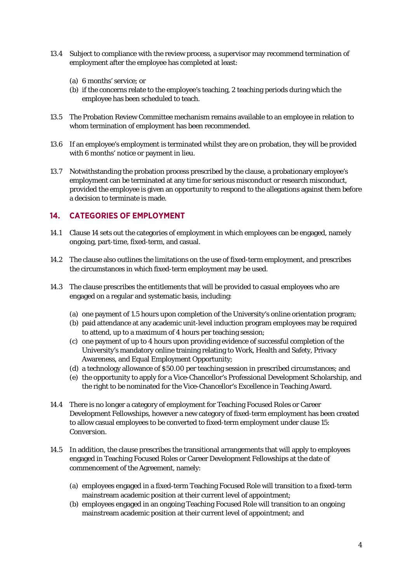- 13.4 Subject to compliance with the review process, a supervisor may recommend termination of employment after the employee has completed at least:
	- (a) 6 months' service; or
	- (b) if the concerns relate to the employee's teaching, 2 teaching periods during which the employee has been scheduled to teach.
- 13.5 The Probation Review Committee mechanism remains available to an employee in relation to whom termination of employment has been recommended.
- 13.6 If an employee's employment is terminated whilst they are on probation, they will be provided with 6 months' notice or payment in lieu.
- 13.7 Notwithstanding the probation process prescribed by the clause, a probationary employee's employment can be terminated at any time for serious misconduct or research misconduct, provided the employee is given an opportunity to respond to the allegations against them before a decision to terminate is made.

# **14. CATEGORIES OF EMPLOYMENT**

- 14.1 Clause 14 sets out the categories of employment in which employees can be engaged, namely ongoing, part-time, fixed-term, and casual.
- 14.2 The clause also outlines the limitations on the use of fixed-term employment, and prescribes the circumstances in which fixed-term employment may be used.
- 14.3 The clause prescribes the entitlements that will be provided to casual employees who are engaged on a regular and systematic basis, including:
	- (a) one payment of 1.5 hours upon completion of the University's online orientation program;
	- (b) paid attendance at any academic unit-level induction program employees may be required to attend, up to a maximum of 4 hours per teaching session;
	- (c) one payment of up to 4 hours upon providing evidence of successful completion of the University's mandatory online training relating to Work, Health and Safety, Privacy Awareness, and Equal Employment Opportunity;
	- (d) a technology allowance of \$50.00 per teaching session in prescribed circumstances; and
	- (e) the opportunity to apply for a Vice-Chancellor's Professional Development Scholarship, and the right to be nominated for the Vice-Chancellor's Excellence in Teaching Award.
- 14.4 There is no longer a category of employment for Teaching Focused Roles or Career Development Fellowships, however a new category of fixed-term employment has been created to allow casual employees to be converted to fixed-term employment under clause 15: *Conversion*.
- 14.5 In addition, the clause prescribes the transitional arrangements that will apply to employees engaged in Teaching Focused Roles or Career Development Fellowships at the date of commencement of the Agreement, namely:
	- (a) employees engaged in a fixed-term Teaching Focused Role will transition to a fixed-term mainstream academic position at their current level of appointment;
	- (b) employees engaged in an ongoing Teaching Focused Role will transition to an ongoing mainstream academic position at their current level of appointment; and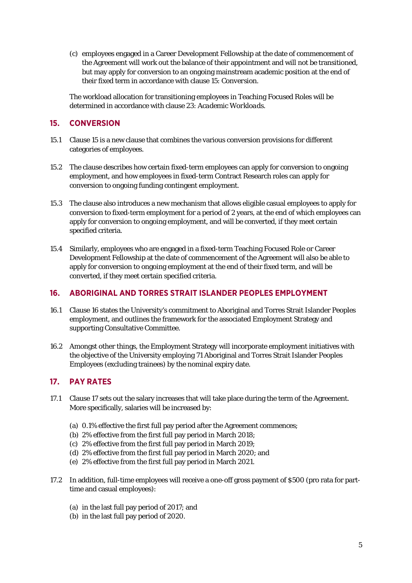(c) employees engaged in a Career Development Fellowship at the date of commencement of the Agreement will work out the balance of their appointment and will not be transitioned, but may apply for conversion to an ongoing mainstream academic position at the end of their fixed term in accordance with clause 15: *Conversion*.

The workload allocation for transitioning employees in Teaching Focused Roles will be determined in accordance with clause 23: *Academic Workloads*.

# **15. CONVERSION**

- 15.1 Clause 15 is a new clause that combines the various conversion provisions for different categories of employees.
- 15.2 The clause describes how certain fixed-term employees can apply for conversion to ongoing employment, and how employees in fixed-term Contract Research roles can apply for conversion to ongoing funding contingent employment.
- 15.3 The clause also introduces a new mechanism that allows eligible casual employees to apply for conversion to fixed-term employment for a period of 2 years, at the end of which employees can apply for conversion to ongoing employment, and will be converted, if they meet certain specified criteria.
- 15.4 Similarly, employees who are engaged in a fixed-term Teaching Focused Role or Career Development Fellowship at the date of commencement of the Agreement will also be able to apply for conversion to ongoing employment at the end of their fixed term, and will be converted, if they meet certain specified criteria.

# **16. ABORIGINAL AND TORRES STRAIT ISLANDER PEOPLES EMPLOYMENT**

- 16.1 Clause 16 states the University's commitment to Aboriginal and Torres Strait Islander Peoples employment, and outlines the framework for the associated Employment Strategy and supporting Consultative Committee.
- 16.2 Amongst other things, the Employment Strategy will incorporate employment initiatives with the objective of the University employing 71 Aboriginal and Torres Strait Islander Peoples Employees (excluding trainees) by the nominal expiry date.

# **17. PAY RATES**

- 17.1 Clause 17 sets out the salary increases that will take place during the term of the Agreement. More specifically, salaries will be increased by:
	- (a) 0.1% effective the first full pay period after the Agreement commences;
	- (b) 2% effective from the first full pay period in March 2018;
	- (c) 2% effective from the first full pay period in March 2019;
	- (d) 2% effective from the first full pay period in March 2020; and
	- (e) 2% effective from the first full pay period in March 2021.
- 17.2 In addition, full-time employees will receive a one-off gross payment of \$500 (pro rata for parttime and casual employees):
	- (a) in the last full pay period of 2017; and
	- (b) in the last full pay period of 2020.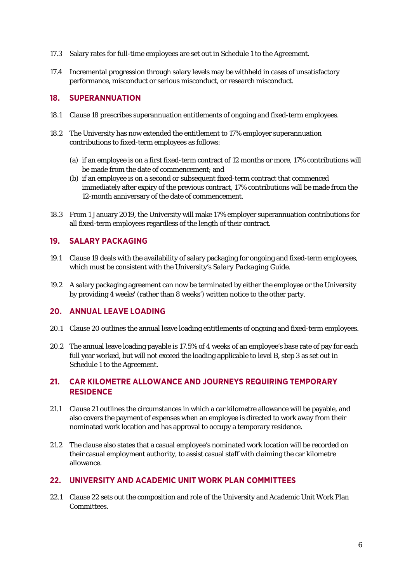- 17.3 Salary rates for full-time employees are set out in Schedule 1 to the Agreement.
- 17.4 Incremental progression through salary levels may be withheld in cases of unsatisfactory performance, misconduct or serious misconduct, or research misconduct.

#### **18. SUPERANNUATION**

- 18.1 Clause 18 prescribes superannuation entitlements of ongoing and fixed-term employees.
- 18.2 The University has now extended the entitlement to 17% employer superannuation contributions to fixed-term employees as follows:
	- (a) if an employee is on a first fixed-term contract of 12 months or more, 17% contributions will be made from the date of commencement; and
	- (b) if an employee is on a second or subsequent fixed-term contract that commenced immediately after expiry of the previous contract, 17% contributions will be made from the 12-month anniversary of the date of commencement.
- 18.3 From 1 January 2019, the University will make 17% employer superannuation contributions for all fixed-term employees regardless of the length of their contract.

#### **19. SALARY PACKAGING**

- 19.1 Clause 19 deals with the availability of salary packaging for ongoing and fixed-term employees, which must be consistent with the University's *Salary Packaging Guide*.
- 19.2 A salary packaging agreement can now be terminated by either the employee or the University by providing 4 weeks' (rather than 8 weeks') written notice to the other party.

#### **20. ANNUAL LEAVE LOADING**

- 20.1 Clause 20 outlines the annual leave loading entitlements of ongoing and fixed-term employees.
- 20.2 The annual leave loading payable is 17.5% of 4 weeks of an employee's base rate of pay for each full year worked, but will not exceed the loading applicable to level B, step 3 as set out in Schedule 1 to the Agreement.

# **21. CAR KILOMETRE ALLOWANCE AND JOURNEYS REQUIRING TEMPORARY RESIDENCE**

- 21.1 Clause 21 outlines the circumstances in which a car kilometre allowance will be payable, and also covers the payment of expenses when an employee is directed to work away from their nominated work location and has approval to occupy a temporary residence.
- 21.2 The clause also states that a casual employee's nominated work location will be recorded on their casual employment authority, to assist casual staff with claiming the car kilometre allowance.

### **22. UNIVERSITY AND ACADEMIC UNIT WORK PLAN COMMITTEES**

22.1 Clause 22 sets out the composition and role of the University and Academic Unit Work Plan Committees.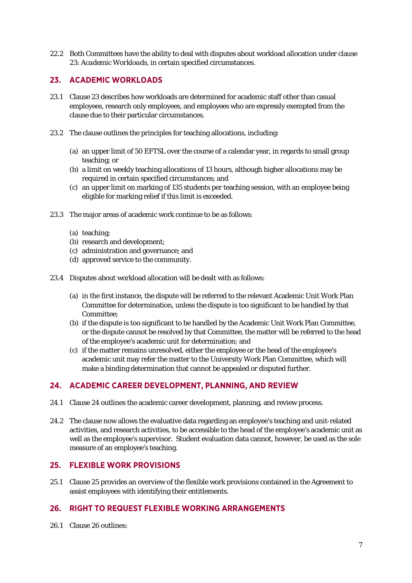22.2 Both Committees have the ability to deal with disputes about workload allocation under clause 23: *Academic Workloads*, in certain specified circumstances.

# **23. ACADEMIC WORKLOADS**

- 23.1 Clause 23 describes how workloads are determined for academic staff other than casual employees, research only employees, and employees who are expressly exempted from the clause due to their particular circumstances.
- 23.2 The clause outlines the principles for teaching allocations, including:
	- (a) an upper limit of 50 EFTSL over the course of a calendar year, in regards to small group teaching; or
	- (b) a limit on weekly teaching allocations of 13 hours, although higher allocations may be required in certain specified circumstances; and
	- (c) an upper limit on marking of 135 students per teaching session, with an employee being eligible for marking relief if this limit is exceeded.
- 23.3 The major areas of academic work continue to be as follows:
	- (a) teaching;
	- (b) research and development;
	- (c) administration and governance; and
	- (d) approved service to the community.
- 23.4 Disputes about workload allocation will be dealt with as follows:
	- (a) in the first instance, the dispute will be referred to the relevant Academic Unit Work Plan Committee for determination, unless the dispute is too significant to be handled by that Committee;
	- (b) if the dispute is too significant to be handled by the Academic Unit Work Plan Committee, or the dispute cannot be resolved by that Committee, the matter will be referred to the head of the employee's academic unit for determination; and
	- (c) if the matter remains unresolved, either the employee or the head of the employee's academic unit may refer the matter to the University Work Plan Committee, which will make a binding determination that cannot be appealed or disputed further.

## **24. ACADEMIC CAREER DEVELOPMENT, PLANNING, AND REVIEW**

- 24.1 Clause 24 outlines the academic career development, planning, and review process.
- 24.2 The clause now allows the evaluative data regarding an employee's teaching and unit-related activities, and research activities, to be accessible to the head of the employee's academic unit as well as the employee's supervisor. Student evaluation data cannot, however, be used as the sole measure of an employee's teaching.

#### **25. FLEXIBLE WORK PROVISIONS**

25.1 Clause 25 provides an overview of the flexible work provisions contained in the Agreement to assist employees with identifying their entitlements.

### **26. RIGHT TO REQUEST FLEXIBLE WORKING ARRANGEMENTS**

26.1 Clause 26 outlines: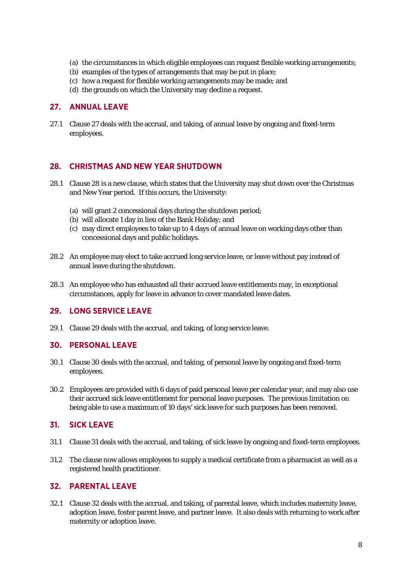- (a) the circumstances in which eligible employees can request flexible working arrangements;
- (b) examples of the types of arrangements that may be put in place;
- (c) how a request for flexible working arrangements may be made; and
- (d) the grounds on which the University may decline a request.

### **27. ANNUAL LEAVE**

27.1 Clause 27 deals with the accrual, and taking, of annual leave by ongoing and fixed-term employees.

### **28. CHRISTMAS AND NEW YEAR SHUTDOWN**

- 28.1 Clause 28 is a new clause, which states that the University may shut down over the Christmas and New Year period. If this occurs, the University:
	- (a) will grant 2 concessional days during the shutdown period;
	- (b) will allocate 1 day in lieu of the Bank Holiday; and
	- (c) may direct employees to take up to 4 days of annual leave on working days other than concessional days and public holidays.
- 28.2 An employee may elect to take accrued long service leave, or leave without pay instead of annual leave during the shutdown.
- 28.3 An employee who has exhausted all their accrued leave entitlements may, in exceptional circumstances, apply for leave in advance to cover mandated leave dates.

### **29. LONG SERVICE LEAVE**

29.1 Clause 29 deals with the accrual, and taking, of long service leave.

### **30. PERSONAL LEAVE**

- 30.1 Clause 30 deals with the accrual, and taking, of personal leave by ongoing and fixed-term employees.
- 30.2 Employees are provided with 6 days of paid personal leave per calendar year, and may also use their accrued sick leave entitlement for personal leave purposes. The previous limitation on being able to use a maximum of 10 days' sick leave for such purposes has been removed.

### **31. SICK LEAVE**

- 31.1 Clause 31 deals with the accrual, and taking, of sick leave by ongoing and fixed-term employees.
- 31.2 The clause now allows employees to supply a medical certificate from a pharmacist as well as a registered health practitioner.

### **32. PARENTAL LEAVE**

32.1 Clause 32 deals with the accrual, and taking, of parental leave, which includes maternity leave, adoption leave, foster parent leave, and partner leave. It also deals with returning to work after maternity or adoption leave.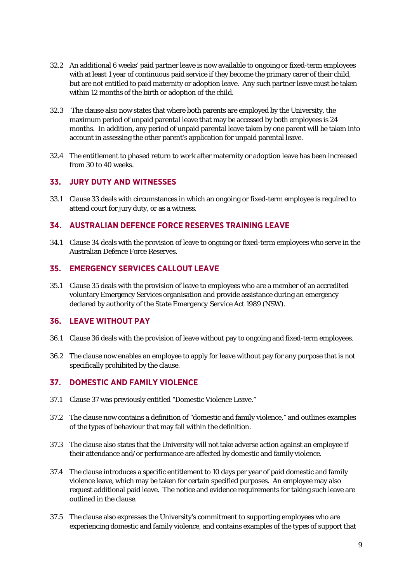- 32.2 An additional 6 weeks' paid partner leave is now available to ongoing or fixed-term employees with at least 1 year of continuous paid service if they become the primary carer of their child, but are not entitled to paid maternity or adoption leave. Any such partner leave must be taken within 12 months of the birth or adoption of the child.
- 32.3 The clause also now states that where both parents are employed by the University, the maximum period of unpaid parental leave that may be accessed by both employees is 24 months. In addition, any period of unpaid parental leave taken by one parent will be taken into account in assessing the other parent's application for unpaid parental leave.
- 32.4 The entitlement to phased return to work after maternity or adoption leave has been increased from 30 to 40 weeks.

### **33. JURY DUTY AND WITNESSES**

33.1 Clause 33 deals with circumstances in which an ongoing or fixed-term employee is required to attend court for jury duty, or as a witness.

## **34. AUSTRALIAN DEFENCE FORCE RESERVES TRAINING LEAVE**

34.1 Clause 34 deals with the provision of leave to ongoing or fixed-term employees who serve in the Australian Defence Force Reserves.

## **35. EMERGENCY SERVICES CALLOUT LEAVE**

35.1 Clause 35 deals with the provision of leave to employees who are a member of an accredited voluntary Emergency Services organisation and provide assistance during an emergency declared by authority of the *State Emergency Service Act* 1989 (NSW).

### **36. LEAVE WITHOUT PAY**

- 36.1 Clause 36 deals with the provision of leave without pay to ongoing and fixed-term employees.
- 36.2 The clause now enables an employee to apply for leave without pay for any purpose that is not specifically prohibited by the clause.

### **37. DOMESTIC AND FAMILY VIOLENCE**

- 37.1 Clause 37 was previously entitled "Domestic Violence Leave."
- 37.2 The clause now contains a definition of "domestic and family violence," and outlines examples of the types of behaviour that may fall within the definition.
- 37.3 The clause also states that the University will not take adverse action against an employee if their attendance and/or performance are affected by domestic and family violence.
- 37.4 The clause introduces a specific entitlement to 10 days per year of paid domestic and family violence leave, which may be taken for certain specified purposes. An employee may also request additional paid leave. The notice and evidence requirements for taking such leave are outlined in the clause.
- 37.5 The clause also expresses the University's commitment to supporting employees who are experiencing domestic and family violence, and contains examples of the types of support that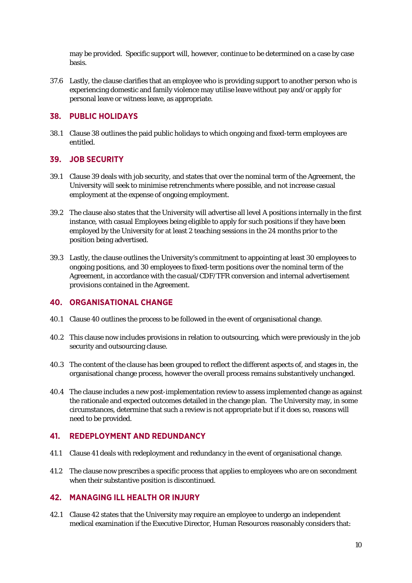may be provided. Specific support will, however, continue to be determined on a case by case basis.

37.6 Lastly, the clause clarifies that an employee who is providing support to another person who is experiencing domestic and family violence may utilise leave without pay and/or apply for personal leave or witness leave, as appropriate.

### **38. PUBLIC HOLIDAYS**

38.1 Clause 38 outlines the paid public holidays to which ongoing and fixed-term employees are entitled.

### **39. JOB SECURITY**

- 39.1 Clause 39 deals with job security, and states that over the nominal term of the Agreement, the University will seek to minimise retrenchments where possible, and not increase casual employment at the expense of ongoing employment.
- 39.2 The clause also states that the University will advertise all level A positions internally in the first instance, with casual Employees being eligible to apply for such positions if they have been employed by the University for at least 2 teaching sessions in the 24 months prior to the position being advertised.
- 39.3 Lastly, the clause outlines the University's commitment to appointing at least 30 employees to ongoing positions, and 30 employees to fixed-term positions over the nominal term of the Agreement, in accordance with the casual/CDF/TFR conversion and internal advertisement provisions contained in the Agreement.

### **40. ORGANISATIONAL CHANGE**

- 40.1 Clause 40 outlines the process to be followed in the event of organisational change.
- 40.2 This clause now includes provisions in relation to outsourcing, which were previously in the job security and outsourcing clause.
- 40.3 The content of the clause has been grouped to reflect the different aspects of, and stages in, the organisational change process, however the overall process remains substantively unchanged.
- 40.4 The clause includes a new post-implementation review to assess implemented change as against the rationale and expected outcomes detailed in the change plan. The University may, in some circumstances, determine that such a review is not appropriate but if it does so, reasons will need to be provided.

### **41. REDEPLOYMENT AND REDUNDANCY**

- 41.1 Clause 41 deals with redeployment and redundancy in the event of organisational change.
- 41.2 The clause now prescribes a specific process that applies to employees who are on secondment when their substantive position is discontinued.

# **42. MANAGING ILL HEALTH OR INJURY**

42.1 Clause 42 states that the University may require an employee to undergo an independent medical examination if the Executive Director, Human Resources reasonably considers that: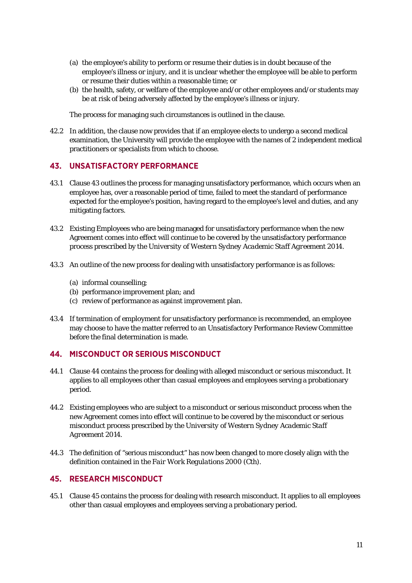- (a) the employee's ability to perform or resume their duties is in doubt because of the employee's illness or injury, and it is unclear whether the employee will be able to perform or resume their duties within a reasonable time; or
- (b) the health, safety, or welfare of the employee and/or other employees and/or students may be at risk of being adversely affected by the employee's illness or injury.

The process for managing such circumstances is outlined in the clause.

42.2 In addition, the clause now provides that if an employee elects to undergo a second medical examination, the University will provide the employee with the names of 2 independent medical practitioners or specialists from which to choose.

### **43. UNSATISFACTORY PERFORMANCE**

- 43.1 Clause 43 outlines the process for managing unsatisfactory performance, which occurs when an employee has, over a reasonable period of time, failed to meet the standard of performance expected for the employee's position, having regard to the employee's level and duties, and any mitigating factors.
- 43.2 Existing Employees who are being managed for unsatisfactory performance when the new Agreement comes into effect will continue to be covered by the unsatisfactory performance process prescribed by the *University of Western Sydney Academic Staff Agreement 2014*.
- 43.3 An outline of the new process for dealing with unsatisfactory performance is as follows:
	- (a) informal counselling;
	- (b) performance improvement plan; and
	- (c) review of performance as against improvement plan.
- 43.4 If termination of employment for unsatisfactory performance is recommended, an employee may choose to have the matter referred to an Unsatisfactory Performance Review Committee before the final determination is made.

### **44. MISCONDUCT OR SERIOUS MISCONDUCT**

- 44.1 Clause 44 contains the process for dealing with alleged misconduct or serious misconduct. It applies to all employees other than casual employees and employees serving a probationary period.
- 44.2 Existing employees who are subject to a misconduct or serious misconduct process when the new Agreement comes into effect will continue to be covered by the misconduct or serious misconduct process prescribed by the *University of Western Sydney Academic Staff Agreement 2014*.
- 44.3 The definition of "serious misconduct" has now been changed to more closely align with the definition contained in the *Fair Work Regulations 2000 (Cth).*

### **45. RESEARCH MISCONDUCT**

45.1 Clause 45 contains the process for dealing with research misconduct. It applies to all employees other than casual employees and employees serving a probationary period.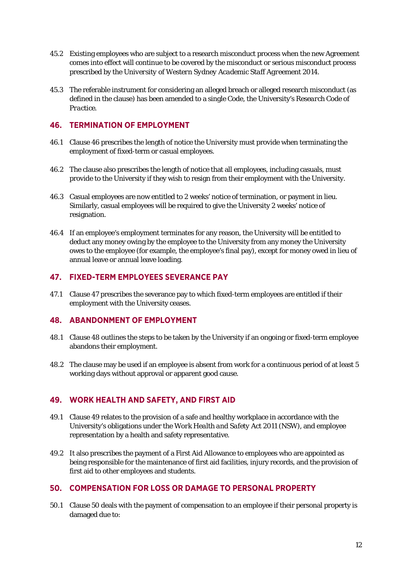- 45.2 Existing employees who are subject to a research misconduct process when the new Agreement comes into effect will continue to be covered by the misconduct or serious misconduct process prescribed by the *University of Western Sydney Academic Staff Agreement 2014*.
- 45.3 The referable instrument for considering an alleged breach or alleged research misconduct (as defined in the clause) has been amended to a single Code, the University's *Research Code of Practice*.

### **46. TERMINATION OF EMPLOYMENT**

- 46.1 Clause 46 prescribes the length of notice the University must provide when terminating the employment of fixed-term or casual employees.
- 46.2 The clause also prescribes the length of notice that all employees, including casuals, must provide to the University if they wish to resign from their employment with the University.
- 46.3 Casual employees are now entitled to 2 weeks' notice of termination, or payment in lieu. Similarly, casual employees will be required to give the University 2 weeks' notice of resignation.
- 46.4 If an employee's employment terminates for any reason, the University will be entitled to deduct any money owing by the employee to the University from any money the University owes to the employee (for example, the employee's final pay), except for money owed in lieu of annual leave or annual leave loading.

## **47. FIXED-TERM EMPLOYEES SEVERANCE PAY**

47.1 Clause 47 prescribes the severance pay to which fixed-term employees are entitled if their employment with the University ceases.

#### **48. ABANDONMENT OF EMPLOYMENT**

- 48.1 Clause 48 outlines the steps to be taken by the University if an ongoing or fixed-term employee abandons their employment.
- 48.2 The clause may be used if an employee is absent from work for a continuous period of at least 5 working days without approval or apparent good cause.

### **49. WORK HEALTH AND SAFETY, AND FIRST AID**

- 49.1 Clause 49 relates to the provision of a safe and healthy workplace in accordance with the University's obligations under the *Work Health and Safety Act 2011 (NSW)*, and employee representation by a health and safety representative.
- 49.2 It also prescribes the payment of a First Aid Allowance to employees who are appointed as being responsible for the maintenance of first aid facilities, injury records, and the provision of first aid to other employees and students.

### **50. COMPENSATION FOR LOSS OR DAMAGE TO PERSONAL PROPERTY**

50.1 Clause 50 deals with the payment of compensation to an employee if their personal property is damaged due to: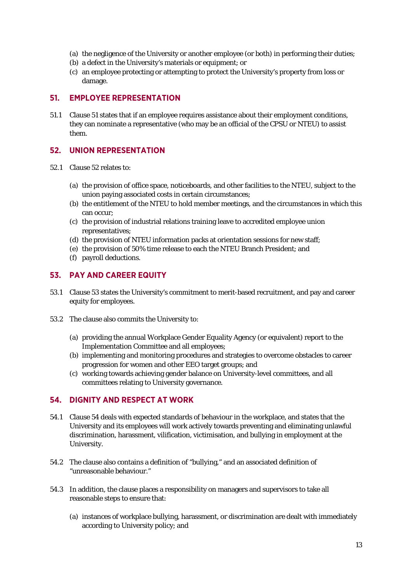- (a) the negligence of the University or another employee (or both) in performing their duties;
- (b) a defect in the University's materials or equipment; or
- (c) an employee protecting or attempting to protect the University's property from loss or damage.

#### **51. EMPLOYEE REPRESENTATION**

51.1 Clause 51 states that if an employee requires assistance about their employment conditions, they can nominate a representative (who may be an official of the CPSU or NTEU) to assist them.

#### **52. UNION REPRESENTATION**

- 52.1 Clause 52 relates to:
	- (a) the provision of office space, noticeboards, and other facilities to the NTEU, subject to the union paying associated costs in certain circumstances;
	- (b) the entitlement of the NTEU to hold member meetings, and the circumstances in which this can occur;
	- (c) the provision of industrial relations training leave to accredited employee union representatives;
	- (d) the provision of NTEU information packs at orientation sessions for new staff;
	- (e) the provision of 50% time release to each the NTEU Branch President; and
	- (f) payroll deductions.

### **53. PAY AND CAREER EQUITY**

- 53.1 Clause 53 states the University's commitment to merit-based recruitment, and pay and career equity for employees.
- 53.2 The clause also commits the University to:
	- (a) providing the annual Workplace Gender Equality Agency (or equivalent) report to the Implementation Committee and all employees;
	- (b) implementing and monitoring procedures and strategies to overcome obstacles to career progression for women and other EEO target groups; and
	- (c) working towards achieving gender balance on University-level committees, and all committees relating to University governance.

### **54. DIGNITY AND RESPECT AT WORK**

- 54.1 Clause 54 deals with expected standards of behaviour in the workplace, and states that the University and its employees will work actively towards preventing and eliminating unlawful discrimination, harassment, vilification, victimisation, and bullying in employment at the University.
- 54.2 The clause also contains a definition of "bullying," and an associated definition of "unreasonable behaviour."
- 54.3 In addition, the clause places a responsibility on managers and supervisors to take all reasonable steps to ensure that:
	- (a) instances of workplace bullying, harassment, or discrimination are dealt with immediately according to University policy; and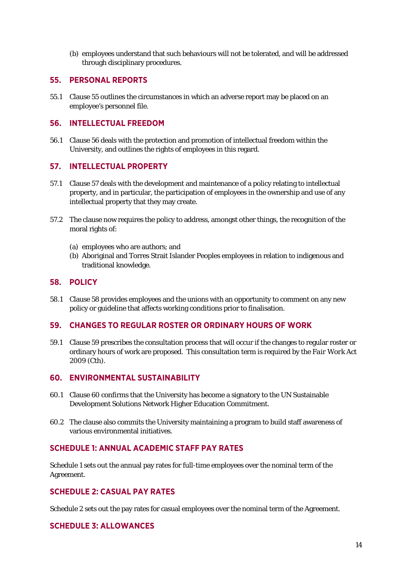(b) employees understand that such behaviours will not be tolerated, and will be addressed through disciplinary procedures.

### **55. PERSONAL REPORTS**

55.1 Clause 55 outlines the circumstances in which an adverse report may be placed on an employee's personnel file.

#### **56. INTELLECTUAL FREEDOM**

56.1 Clause 56 deals with the protection and promotion of intellectual freedom within the University, and outlines the rights of employees in this regard.

### **57. INTELLECTUAL PROPERTY**

- 57.1 Clause 57 deals with the development and maintenance of a policy relating to intellectual property, and in particular, the participation of employees in the ownership and use of any intellectual property that they may create.
- 57.2 The clause now requires the policy to address, amongst other things, the recognition of the moral rights of:
	- (a) employees who are authors; and
	- (b) Aboriginal and Torres Strait Islander Peoples employees in relation to indigenous and traditional knowledge.

#### **58. POLICY**

58.1 Clause 58 provides employees and the unions with an opportunity to comment on any new policy or guideline that affects working conditions prior to finalisation.

### **59. CHANGES TO REGULAR ROSTER OR ORDINARY HOURS OF WORK**

59.1 Clause 59 prescribes the consultation process that will occur if the changes to regular roster or ordinary hours of work are proposed. This consultation term is required by the *Fair Work Act*  2009 (Cth).

#### **60. ENVIRONMENTAL SUSTAINABILITY**

- 60.1 Clause 60 confirms that the University has become a signatory to the UN Sustainable Development Solutions Network Higher Education Commitment.
- 60.2 The clause also commits the University maintaining a program to build staff awareness of various environmental initiatives.

#### **SCHEDULE 1: ANNUAL ACADEMIC STAFF PAY RATES**

Schedule 1 sets out the annual pay rates for full-time employees over the nominal term of the Agreement.

### **SCHEDULE 2: CASUAL PAY RATES**

Schedule 2 sets out the pay rates for casual employees over the nominal term of the Agreement.

### **SCHEDULE 3: ALLOWANCES**